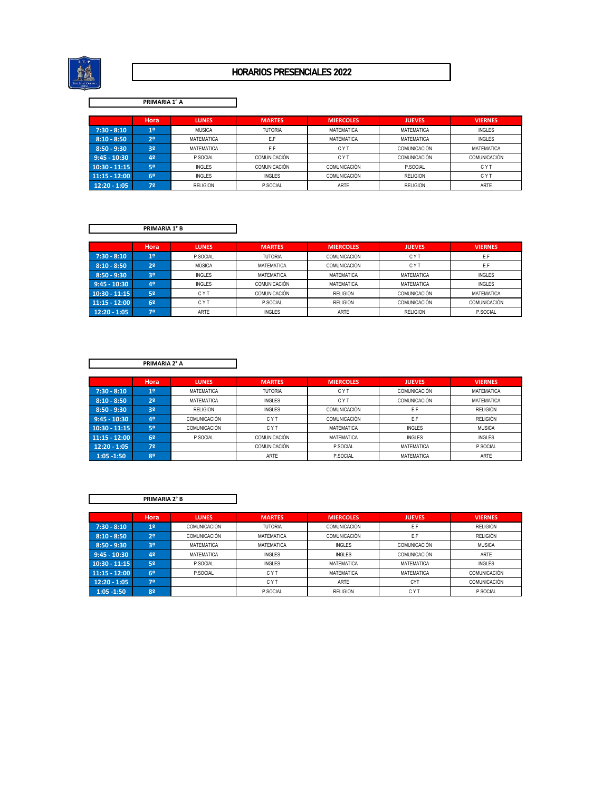

## HORARIOS PRESENCIALES 2022

## **PRIMARIA 1° A**

|                 | Hora           | <b>LUNES</b>    | <b>MARTES</b>       | <b>MIERCOLES</b>    | <b>JUEVES</b>       | <b>VIERNES</b> |
|-----------------|----------------|-----------------|---------------------|---------------------|---------------------|----------------|
| $7:30 - 8:10$   | 1 <sup>0</sup> | <b>MUSICA</b>   | <b>TUTORIA</b>      | MATEMATICA          | MATEMATICA          | <b>INGLES</b>  |
| $8:10 - 8:50$   | 2 <sup>o</sup> | MATEMATICA      | E.F                 | MATEMATICA          | MATEMATICA          | <b>INGLES</b>  |
| $8:50 - 9:30$   | 3º             | MATEMATICA      | E.F                 | <b>CYT</b>          | <b>COMUNICACIÓN</b> | MATEMATICA     |
| $9:45 - 10:30$  | 42             | P.SOCIAL        | <b>COMUNICACIÓN</b> | <b>CYT</b>          | COMUNICACIÓN        | COMUNICACIÓN   |
| $10:30 - 11:15$ | 52             | <b>INGLES</b>   | <b>COMUNICACIÓN</b> | <b>COMUNICACIÓN</b> | P.SOCIAL            | <b>CYT</b>     |
| $11:15 - 12:00$ | 6º             | <b>INGLES</b>   | <b>INGLES</b>       | <b>COMUNICACIÓN</b> | <b>RELIGION</b>     | <b>CYT</b>     |
| $12:20 - 1:05$  | 72             | <b>RELIGION</b> | P.SOCIAL            | <b>ARTE</b>         | <b>RELIGION</b>     | <b>ARTE</b>    |

**PRIMARIA 1° B**

|                 | Hora           | <b>LUNES</b>  | <b>MARTES</b>       | <b>MIERCOLES</b>  | <b>JUEVES</b>     | <b>VIERNES</b>    |
|-----------------|----------------|---------------|---------------------|-------------------|-------------------|-------------------|
| $7:30 - 8:10$   | 1 <sup>°</sup> | P.SOCIAL      | <b>TUTORIA</b>      | COMUNICACIÓN      | CYT               | E.F               |
| $8:10 - 8:50$   | 2º             | MÚSICA        | <b>MATEMATICA</b>   | COMUNICACIÓN      | CYT               | E.F               |
| $8:50 - 9:30$   | 3º             | <b>INGLES</b> | <b>MATEMATICA</b>   | <b>MATEMATICA</b> | MATEMATICA        | <b>INGLES</b>     |
| $9:45 - 10:30$  | 4º             | <b>INGLES</b> | <b>COMUNICACIÓN</b> | <b>MATEMATICA</b> | <b>MATEMATICA</b> | <b>INGLES</b>     |
| $10:30 - 11:15$ | 5º             | <b>CYT</b>    | <b>COMUNICACIÓN</b> | <b>RELIGION</b>   | COMUNICACIÓN      | <b>MATEMATICA</b> |
| $11:15 - 12:00$ | 62             | <b>CYT</b>    | P.SOCIAL            | <b>RELIGION</b>   | COMUNICACIÓN      | COMUNICACIÓN      |
| $12:20 - 1:05$  | 72             | <b>ARTE</b>   | <b>INGLES</b>       | <b>ARTE</b>       | <b>RELIGION</b>   | P.SOCIAL          |

**PRIMARIA 2° A**

|                 | Hora           | <b>LUNES</b>    | <b>MARTES</b>       | <b>MIERCOLES</b> | <b>JUEVES</b>       | <b>VIERNES</b>  |
|-----------------|----------------|-----------------|---------------------|------------------|---------------------|-----------------|
| $7:30 - 8:10$   | 1 <sup>0</sup> | MATEMATICA      | <b>TUTORIA</b>      | <b>CYT</b>       | <b>COMUNICACIÓN</b> | MATEMATICA      |
| $8:10 - 8:50$   | 2 <sup>0</sup> | MATEMATICA      | <b>INGLES</b>       | <b>CYT</b>       | <b>COMUNICACIÓN</b> | MATEMATICA      |
| $8:50 - 9:30$   | 32             | <b>RELIGION</b> | <b>INGLES</b>       | COMUNICACIÓN     | E.F                 | <b>RELIGIÓN</b> |
| $9:45 - 10:30$  | 42             | COMUNICACIÓN    | <b>CYT</b>          | COMUNICACIÓN     | E.F                 | <b>RELIGIÓN</b> |
| $10:30 - 11:15$ | 52             | COMUNICACIÓN    | C Y T               | MATEMATICA       | <b>INGLES</b>       | <b>MUSICA</b>   |
| $11:15 - 12:00$ | 6º             | P.SOCIAL        | <b>COMUNICACIÓN</b> | MATEMATICA       | <b>INGLES</b>       | INGLÉS          |
| $12:20 - 1:05$  | 72             |                 | <b>COMUNICACIÓN</b> | P.SOCIAL         | MATEMATICA          | P.SOCIAL        |
| $1:05 - 1:50$   | 82             |                 | <b>ARTE</b>         | P.SOCIAL         | <b>MATEMATICA</b>   | <b>ARTE</b>     |

| <b>PRIMARIA 2° B</b> |  |
|----------------------|--|

|                 | Hora           | <b>LUNES</b>        | <b>MARTES</b>     | <b>MIERCOLES</b>    | <b>JUEVES</b>       | <b>VIERNES</b>  |
|-----------------|----------------|---------------------|-------------------|---------------------|---------------------|-----------------|
| $7:30 - 8:10$   | 1 <sup>o</sup> | <b>COMUNICACIÓN</b> | <b>TUTORIA</b>    | <b>COMUNICACIÓN</b> | E.F                 | <b>RELIGIÓN</b> |
| $8:10 - 8:50$   | 2 <sup>o</sup> | <b>COMUNICACIÓN</b> | <b>MATEMATICA</b> | <b>COMUNICACIÓN</b> | E.F                 | <b>RELIGIÓN</b> |
| $8:50 - 9:30$   | 3º             | <b>MATEMATICA</b>   | <b>MATEMATICA</b> | <b>INGLES</b>       | <b>COMUNICACIÓN</b> | <b>MUSICA</b>   |
| $9:45 - 10:30$  | 4º             | <b>MATEMATICA</b>   | <b>INGLES</b>     | <b>INGLES</b>       | <b>COMUNICACIÓN</b> | ARTE            |
| $10:30 - 11:15$ | 52             | P.SOCIAL            | <b>INGLES</b>     | <b>MATEMATICA</b>   | MATEMATICA          | INGLÉS          |
| $11:15 - 12:00$ | 6º             | P.SOCIAL            | <b>CYT</b>        | <b>MATEMATICA</b>   | MATEMATICA          | COMUNICACIÓN    |
| $12:20 - 1:05$  | 72             |                     | CYT               | <b>ARTE</b>         | <b>CYT</b>          | COMUNICACIÓN    |
| $1:05 - 1:50$   | 82             |                     | P.SOCIAL          | <b>RELIGION</b>     | <b>CYT</b>          | P.SOCIAL        |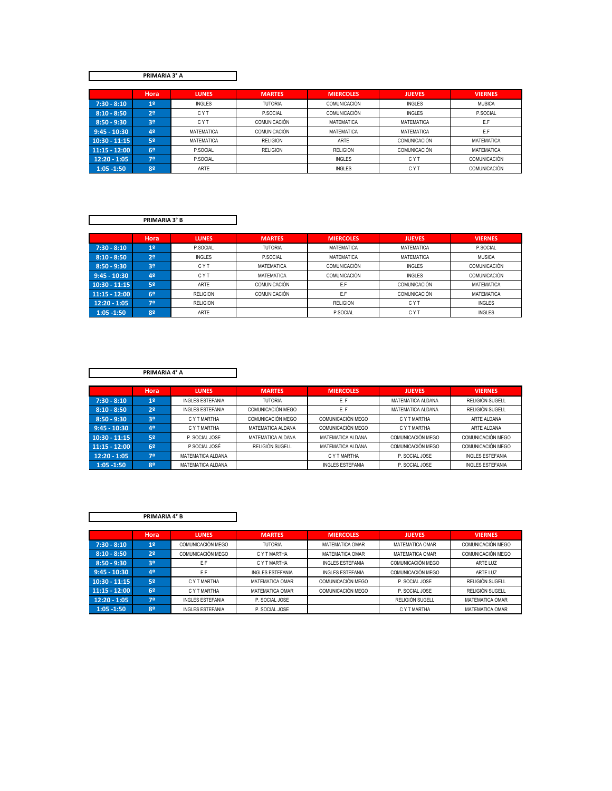**PRIMARIA 3° A**

|                 | Hora           | <b>LUNES</b>      | <b>MARTES</b>   | <b>MIERCOLES</b>    | <b>JUEVES</b>     | <b>VIERNES</b>    |
|-----------------|----------------|-------------------|-----------------|---------------------|-------------------|-------------------|
| $7:30 - 8:10$   | 1 <sup>0</sup> | <b>INGLES</b>     | <b>TUTORIA</b>  | COMUNICACIÓN        | <b>INGLES</b>     | <b>MUSICA</b>     |
| $8:10 - 8:50$   | 2 <sup>o</sup> | <b>CYT</b>        | P.SOCIAL        | <b>COMUNICACIÓN</b> | <b>INGLES</b>     | P.SOCIAL          |
| $8:50 - 9:30$   | 3º             | <b>CYT</b>        | COMUNICACIÓN    | MATEMATICA          | <b>MATEMATICA</b> | E.F               |
| $9:45 - 10:30$  | 4º             | <b>MATEMATICA</b> | COMUNICACIÓN    | MATEMATICA          | <b>MATEMATICA</b> | E.F               |
| $10:30 - 11:15$ | 5º             | <b>MATEMATICA</b> | <b>RELIGION</b> | ARTE                | COMUNICACIÓN      | <b>MATEMATICA</b> |
| $11:15 - 12:00$ | 6º             | P.SOCIAL          | <b>RELIGION</b> | <b>RELIGION</b>     | COMUNICACIÓN      | <b>MATEMATICA</b> |
| $12:20 - 1:05$  | 72             | P.SOCIAL          |                 | <b>INGLES</b>       | <b>CYT</b>        | COMUNICACIÓN      |
| $1:05 - 1:50$   | 8º             | ARTE              |                 | <b>INGLES</b>       | <b>CYT</b>        | COMUNICACIÓN      |
|                 |                |                   |                 |                     |                   |                   |

| <b>PRIMARIA 3° B</b> |  |
|----------------------|--|

|                 | Hora           | <b>LUNES</b>    | <b>MARTES</b>       | <b>MIERCOLES</b>  | <b>JUEVES</b> | <b>VIERNES</b>    |
|-----------------|----------------|-----------------|---------------------|-------------------|---------------|-------------------|
| $7:30 - 8:10$   | 12             | P.SOCIAL        | <b>TUTORIA</b>      | MATEMATICA        | MATEMATICA    | P.SOCIAL          |
| $8:10 - 8:50$   | 2 <sup>o</sup> | <b>INGLES</b>   | P.SOCIAL            | <b>MATEMATICA</b> | MATEMATICA    | <b>MUSICA</b>     |
| $8:50 - 9:30$   | 3 <sup>0</sup> | <b>CYT</b>      | MATEMATICA          | COMUNICACIÓN      | <b>INGLES</b> | COMUNICACIÓN      |
| $9:45 - 10:30$  | 42             | <b>CYT</b>      | MATEMATICA          | COMUNICACIÓN      | <b>INGLES</b> | COMUNICACIÓN      |
| $10:30 - 11:15$ | 52             | ARTE            | <b>COMUNICACIÓN</b> | E.F               | COMUNICACIÓN  | MATEMATICA        |
| $11:15 - 12:00$ | 62             | <b>RELIGION</b> | <b>COMUNICACIÓN</b> | E.F               | COMUNICACIÓN  | <b>MATEMATICA</b> |
| $12:20 - 1:05$  | 7º             | <b>RELIGION</b> |                     | <b>RELIGION</b>   | <b>CYT</b>    | <b>INGLES</b>     |
| $1:05 - 1:50$   | 82             | <b>ARTE</b>     |                     | P.SOCIAL          | <b>CYT</b>    | <b>INGLES</b>     |

**PRIMARIA 4° A**

 $\mathsf{r}$ 

|                 | Hora           | <b>LUNES</b>            | <b>MARTES</b>     | <b>MIERCOLES</b>        | <b>JUEVES</b>     | <b>VIERNES</b>           |
|-----------------|----------------|-------------------------|-------------------|-------------------------|-------------------|--------------------------|
| $7:30 - 8:10$   | 1 <sup>0</sup> | <b>INGLES ESTEFANIA</b> | <b>TUTORIA</b>    | E.F                     | MATEMATICA ALDANA | RELIGIÓN SUGELL          |
| $8:10 - 8:50$   | 2 <sup>0</sup> | <b>INGLES ESTEFANIA</b> | COMUNICACIÓN MEGO | E.F                     | MATEMATICA ALDANA | RELIGIÓN SUGELL          |
| $8:50 - 9:30$   | 3 <sup>o</sup> | C Y T MARTHA            | COMUNICACIÓN MEGO | COMUNICACIÓN MEGO       | C Y T MARTHA      | ARTE ALDANA              |
| $9:45 - 10:30$  | 42             | C Y T MARTHA            | MATEMATICA ALDANA | COMUNICACIÓN MEGO       | C Y T MARTHA      | ARTE ALDANA              |
| $10:30 - 11:15$ | 52             | P. SOCIAL JOSE          | MATEMATICA ALDANA | MATEMATICA ALDANA       | COMUNICACIÓN MEGO | <b>COMUNICACIÓN MEGO</b> |
| $11:15 - 12:00$ | 6º             | P SOCIAL JOSÉ           | RELIGIÓN SUGELL   | MATEMATICA ALDANA       | COMUNICACIÓN MEGO | COMUNICACIÓN MEGO        |
| $12:20 - 1:05$  | 7º             | MATEMATICA ALDANA       |                   | C Y T MARTHA            | P. SOCIAL JOSE    | <b>INGLES ESTEFANIA</b>  |
| $1:05 - 1:50$   | 82             | MATEMATICA ALDANA       |                   | <b>INGLES ESTEFANIA</b> | P. SOCIAL JOSE    | <b>INGLES ESTEFANIA</b>  |

| PRIMARIA 4° B   |                |                         |                         |                         |                        |                        |
|-----------------|----------------|-------------------------|-------------------------|-------------------------|------------------------|------------------------|
|                 |                |                         |                         |                         |                        |                        |
|                 | Hora           | <b>LUNES</b>            | <b>MARTES</b>           | <b>MIERCOLES</b>        | <b>JUEVES</b>          | <b>VIERNES</b>         |
| $7:30 - 8:10$   | 1 <sup>°</sup> | COMUNICACIÓN MEGO       | <b>TUTORIA</b>          | <b>MATEMATICA OMAR</b>  | MATEMATICA OMAR        | COMUNICACIÓN MEGO      |
| $8:10 - 8:50$   | 2 <sup>0</sup> | COMUNICACIÓN MEGO       | C Y T MARTHA            | <b>MATEMATICA OMAR</b>  | <b>MATEMATICA OMAR</b> | COMUNICACIÓN MEGO      |
| $8:50 - 9:30$   | 3 <sup>o</sup> | E.F                     | C Y T MARTHA            | <b>INGLES ESTEFANIA</b> | COMUNICACIÓN MEGO      | ARTE LUZ               |
| $9:45 - 10:30$  | 4 <sup>°</sup> | E.F                     | <b>INGLES ESTEFANIA</b> | <b>INGLES ESTEFANIA</b> | COMUNICACIÓN MEGO      | ARTE LUZ               |
| $10:30 - 11:15$ | 52             | C Y T MARTHA            | <b>MATEMATICA OMAR</b>  | COMUNICACIÓN MEGO       | P. SOCIAL JOSE         | RELIGIÓN SUGELL        |
| $11:15 - 12:00$ | 6º             | C Y T MARTHA            | <b>MATEMATICA OMAR</b>  | COMUNICACIÓN MEGO       | P. SOCIAL JOSE         | RELIGIÓN SUGELL        |
| $12:20 - 1:05$  | 72             | <b>INGLES ESTEFANIA</b> | P. SOCIAL JOSE          |                         | RELIGIÓN SUGELL        | <b>MATEMATICA OMAR</b> |
| $1:05 - 1:50$   | 82             | <b>INGLES ESTEFANIA</b> | P. SOCIAL JOSE          |                         | C Y T MARTHA           | <b>MATEMATICA OMAR</b> |